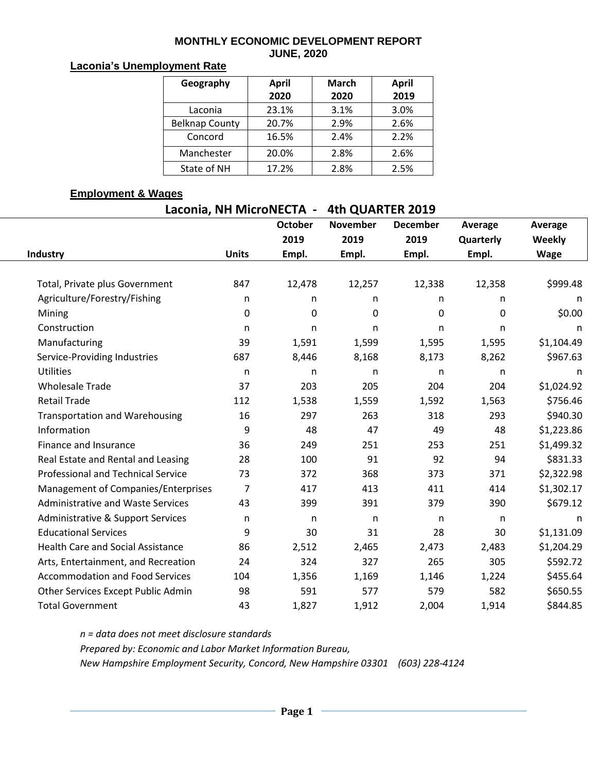#### **MONTHLY ECONOMIC DEVELOPMENT REPORT JUNE, 2020**

## **Laconia's Unemployment Rate**

| Geography             | <b>April</b> | <b>March</b> | <b>April</b> |  |  |
|-----------------------|--------------|--------------|--------------|--|--|
|                       | 2020         | 2020         | 2019         |  |  |
| Laconia               | 23.1%        | 3.1%         | 3.0%         |  |  |
| <b>Belknap County</b> | 20.7%        | 2.9%         | 2.6%         |  |  |
| Concord               | 16.5%        | 2.4%         | 2.2%         |  |  |
| Manchester            | 20.0%        | 2.8%         | 2.6%         |  |  |
| State of NH           | 17.2%        | 2.8%         | 2.5%         |  |  |

### **Employment & Wages**

| Laconia, NH MicroNECTA - | 4th QUARTER 2019 |
|--------------------------|------------------|
|--------------------------|------------------|

|                                           |              | <b>October</b>   | <b>November</b> | <b>December</b> | Average      | Average    |
|-------------------------------------------|--------------|------------------|-----------------|-----------------|--------------|------------|
|                                           |              | 2019             | 2019            | 2019            | Quarterly    | Weekly     |
| Industry                                  | <b>Units</b> | Empl.            | Empl.           | Empl.           | Empl.        | Wage       |
|                                           |              |                  |                 |                 |              |            |
| Total, Private plus Government            | 847          | 12,478           | 12,257          | 12,338          | 12,358       | \$999.48   |
| Agriculture/Forestry/Fishing              | n            | n                | n.              | n               | n            | n          |
| Mining                                    | 0            | $\boldsymbol{0}$ | $\mathbf 0$     | $\pmb{0}$       | 0            | \$0.00     |
| Construction                              | n            | n                | n               | n               | n            | n          |
| Manufacturing                             | 39           | 1,591            | 1,599           | 1,595           | 1,595        | \$1,104.49 |
| Service-Providing Industries              | 687          | 8,446            | 8,168           | 8,173           | 8,262        | \$967.63   |
| <b>Utilities</b>                          | n            | n                | n               | n               | n            | n          |
| <b>Wholesale Trade</b>                    | 37           | 203              | 205             | 204             | 204          | \$1,024.92 |
| <b>Retail Trade</b>                       | 112          | 1,538            | 1,559           | 1,592           | 1,563        | \$756.46   |
| <b>Transportation and Warehousing</b>     | 16           | 297              | 263             | 318             | 293          | \$940.30   |
| Information                               | 9            | 48               | 47              | 49              | 48           | \$1,223.86 |
| Finance and Insurance                     | 36           | 249              | 251             | 253             | 251          | \$1,499.32 |
| Real Estate and Rental and Leasing        | 28           | 100              | 91              | 92              | 94           | \$831.33   |
| <b>Professional and Technical Service</b> | 73           | 372              | 368             | 373             | 371          | \$2,322.98 |
| Management of Companies/Enterprises       | 7            | 417              | 413             | 411             | 414          | \$1,302.17 |
| <b>Administrative and Waste Services</b>  | 43           | 399              | 391             | 379             | 390          | \$679.12   |
| Administrative & Support Services         | n            | n                | n               | n               | $\mathsf{n}$ | n          |
| <b>Educational Services</b>               | 9            | 30               | 31              | 28              | 30           | \$1,131.09 |
| <b>Health Care and Social Assistance</b>  | 86           | 2,512            | 2,465           | 2,473           | 2,483        | \$1,204.29 |
| Arts, Entertainment, and Recreation       | 24           | 324              | 327             | 265             | 305          | \$592.72   |
| <b>Accommodation and Food Services</b>    | 104          | 1,356            | 1,169           | 1,146           | 1,224        | \$455.64   |
| Other Services Except Public Admin        | 98           | 591              | 577             | 579             | 582          | \$650.55   |
| <b>Total Government</b>                   | 43           | 1,827            | 1,912           | 2,004           | 1,914        | \$844.85   |

*n = data does not meet disclosure standards Prepared by: Economic and Labor Market Information Bureau, New Hampshire Employment Security, Concord, New Hampshire 03301 (603) 228-4124*